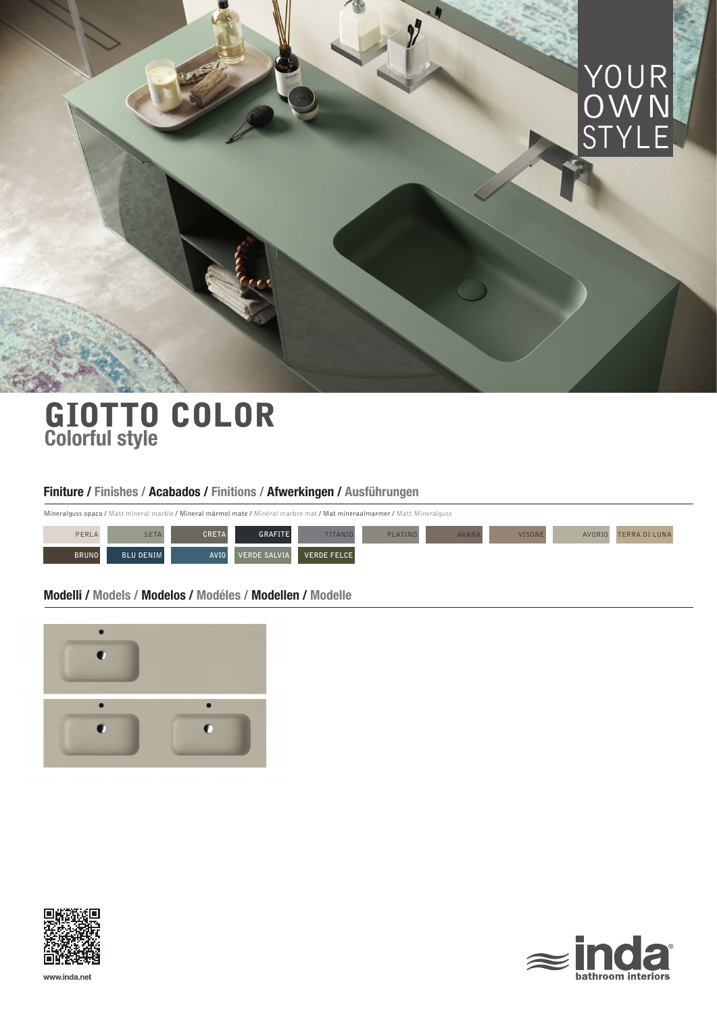

# Colorful style GIOTTO COLOR

# Finiture / Finishes / Acabados / Finitions / Afwerkingen / Ausführungen

Mineralguss opaco / Matt mineral marble / Mineral mármol mate / Minéral marbre mat / Mat mineraalmarmer / Matt Mineralguss

| PERLA        | <b>SETA</b>      | CRETA       | <b>GRAFITE</b> | <b>TITANIO</b>     | PLATINO | <b>AVANA</b> | <b>VISONE</b> | <b>AVORIO</b> | <b>TERRA DI LUNA</b> |
|--------------|------------------|-------------|----------------|--------------------|---------|--------------|---------------|---------------|----------------------|
| <b>BRUNO</b> | <b>BLU DENIM</b> | <b>AVIO</b> | VERDE SALVIA   | <b>VERDE FELCE</b> |         |              |               |               |                      |

# Modelli / Models / Modelos / Modéles / Modellen / Modelle







www.inda.net